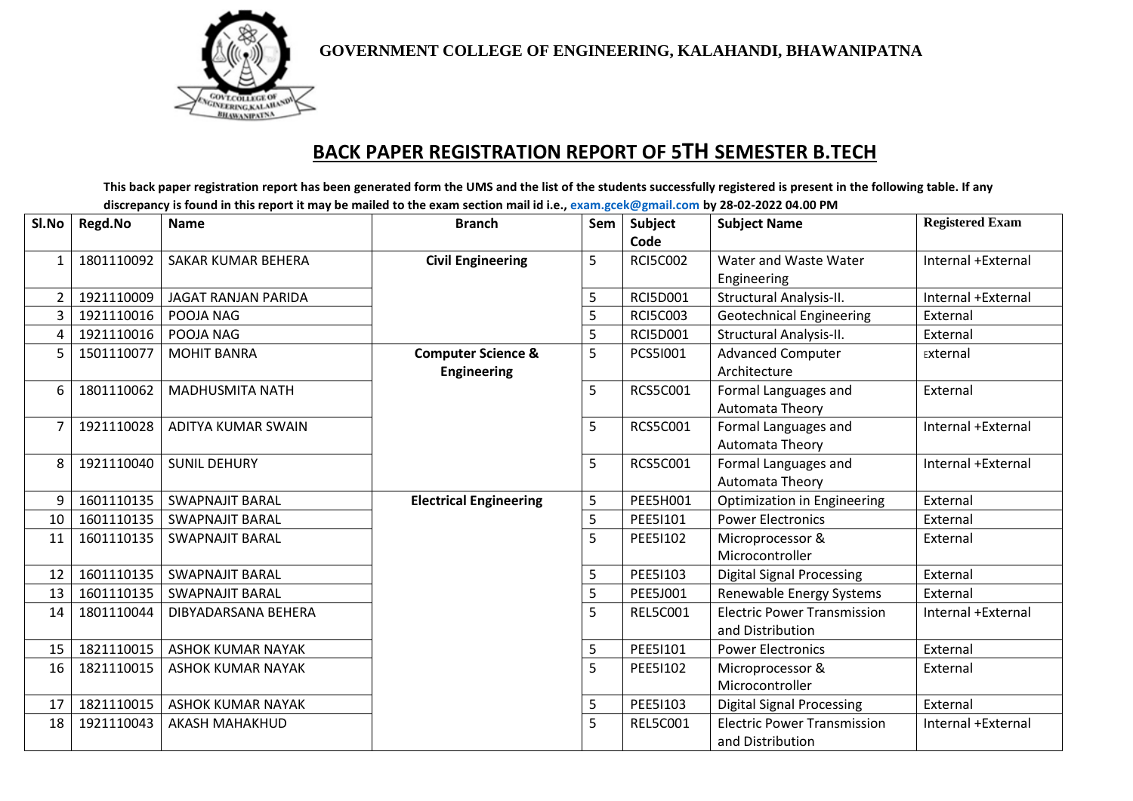

**GOVERNMENT COLLEGE OF ENGINEERING, KALAHANDI, BHAWANIPATNA**

## **BACK PAPER REGISTRATION REPORT OF 5TH SEMESTER B.TECH**

This back paper registration report has been generated form the UMS and the list of the students successfully registered is present in the following table. If any discrepancy is found in this report it may be mailed to the exam section mail id i.e., [exam.gcek@gmail.com](mailto:exam.gcek@gmail.com) by 28-02-2022 04.00 PM

| Sl.No | Regd.No    | <b>Name</b>                | <b>Branch</b>                 | Sem | Subject         | <b>Subject Name</b>                | <b>Registered Exam</b> |
|-------|------------|----------------------------|-------------------------------|-----|-----------------|------------------------------------|------------------------|
|       |            |                            |                               |     | Code            |                                    |                        |
| 1     | 1801110092 | <b>SAKAR KUMAR BEHERA</b>  | <b>Civil Engineering</b>      | 5   | <b>RCI5C002</b> | Water and Waste Water              | Internal +External     |
|       |            |                            |                               |     |                 | Engineering                        |                        |
| 2     | 1921110009 | <b>JAGAT RANJAN PARIDA</b> |                               | 5   | <b>RCI5D001</b> | Structural Analysis-II.            | Internal +External     |
| 3     | 1921110016 | POOJA NAG                  |                               | 5   | <b>RCI5C003</b> | <b>Geotechnical Engineering</b>    | External               |
| 4     | 1921110016 | POOJA NAG                  |                               | 5   | <b>RCI5D001</b> | Structural Analysis-II.            | External               |
| 5     | 1501110077 | <b>MOHIT BANRA</b>         | <b>Computer Science &amp;</b> | 5   | PCS51001        | <b>Advanced Computer</b>           | External               |
|       |            |                            | <b>Engineering</b>            |     |                 | Architecture                       |                        |
| 6     | 1801110062 | <b>MADHUSMITA NATH</b>     |                               | 5   | <b>RCS5C001</b> | Formal Languages and               | External               |
|       |            |                            |                               |     |                 | Automata Theory                    |                        |
| 7     | 1921110028 | ADITYA KUMAR SWAIN         |                               | 5   | <b>RCS5C001</b> | Formal Languages and               | Internal +External     |
|       |            |                            |                               |     |                 | Automata Theory                    |                        |
| 8     | 1921110040 | <b>SUNIL DEHURY</b>        |                               | 5   | <b>RCS5C001</b> | Formal Languages and               | Internal +External     |
|       |            |                            |                               |     |                 | Automata Theory                    |                        |
| 9     | 1601110135 | <b>SWAPNAJIT BARAL</b>     | <b>Electrical Engineering</b> | 5   | <b>PEE5H001</b> | Optimization in Engineering        | External               |
| 10    | 1601110135 | <b>SWAPNAJIT BARAL</b>     |                               | 5   | PEE51101        | <b>Power Electronics</b>           | External               |
| 11    | 1601110135 | <b>SWAPNAJIT BARAL</b>     |                               | 5   | PEE51102        | Microprocessor &                   | External               |
|       |            |                            |                               |     |                 | Microcontroller                    |                        |
| 12    | 1601110135 | <b>SWAPNAJIT BARAL</b>     |                               | 5   | PEE51103        | <b>Digital Signal Processing</b>   | External               |
| 13    | 1601110135 | <b>SWAPNAJIT BARAL</b>     |                               | 5   | PEE5J001        | Renewable Energy Systems           | External               |
| 14    | 1801110044 | DIBYADARSANA BEHERA        |                               | 5   | <b>REL5C001</b> | <b>Electric Power Transmission</b> | Internal +External     |
|       |            |                            |                               |     |                 | and Distribution                   |                        |
| 15    | 1821110015 | <b>ASHOK KUMAR NAYAK</b>   |                               | 5   | PEE51101        | <b>Power Electronics</b>           | External               |
| 16    | 1821110015 | <b>ASHOK KUMAR NAYAK</b>   |                               | 5   | PEE51102        | Microprocessor &                   | External               |
|       |            |                            |                               |     |                 | Microcontroller                    |                        |
| 17    | 1821110015 | <b>ASHOK KUMAR NAYAK</b>   |                               | 5   | PEE51103        | <b>Digital Signal Processing</b>   | External               |
| 18    | 1921110043 | <b>AKASH MAHAKHUD</b>      |                               | 5   | <b>REL5C001</b> | <b>Electric Power Transmission</b> | Internal +External     |
|       |            |                            |                               |     |                 | and Distribution                   |                        |